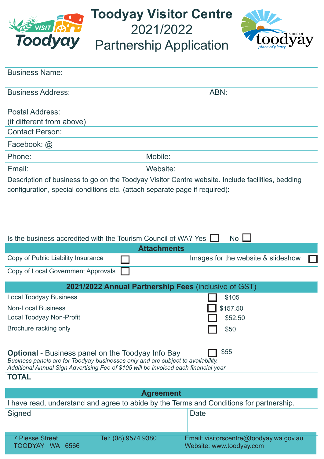

**Toodyay Visitor Centre** 2021/2022

Partnership Application



| ABN: |
|------|
|      |
|      |
|      |
|      |
|      |
|      |
|      |

Description of business to go on the Toodyay Visitor Centre website. Include facilities, bedding configuration, special conditions etc. (attach separate page if required):

| Is the business accredited with the Tourism Council of WA? Yes                                                                                                           | <b>No</b>                          |  |  |
|--------------------------------------------------------------------------------------------------------------------------------------------------------------------------|------------------------------------|--|--|
| <b>Attachments</b>                                                                                                                                                       |                                    |  |  |
| Copy of Public Liability Insurance                                                                                                                                       | Images for the website & slideshow |  |  |
| Copy of Local Government Approvals                                                                                                                                       |                                    |  |  |
| 2021/2022 Annual Partnership Fees (inclusive of GST)                                                                                                                     |                                    |  |  |
| <b>Local Toodyay Business</b>                                                                                                                                            | \$105                              |  |  |
| <b>Non-Local Business</b>                                                                                                                                                | \$157.50                           |  |  |
| Local Toodyay Non-Profit                                                                                                                                                 | \$52.50                            |  |  |
| Brochure racking only                                                                                                                                                    | \$50                               |  |  |
|                                                                                                                                                                          |                                    |  |  |
| \$55<br><b>Optional</b> - Business panel on the Toodyay Info Bay                                                                                                         |                                    |  |  |
| Business panels are for Toodyay businesses only and are subject to availability.<br>Additional Annual Sign Advertising Fee of \$105 will be invoiced each financial year |                                    |  |  |
| <b>TOTAL</b>                                                                                                                                                             |                                    |  |  |
|                                                                                                                                                                          |                                    |  |  |

| <b>Agreement</b>                                                                        |                     |                                                                     |  |  |
|-----------------------------------------------------------------------------------------|---------------------|---------------------------------------------------------------------|--|--|
| I have read, understand and agree to abide by the Terms and Conditions for partnership. |                     |                                                                     |  |  |
| Signed                                                                                  |                     | Date                                                                |  |  |
| <b>7 Piesse Street</b><br>TOODYAY<br>WA.<br>6566                                        | Tel: (08) 9574 9380 | Email: visitorscentre@toodyay.wa.gov.au<br>Website: www.toodyay.com |  |  |